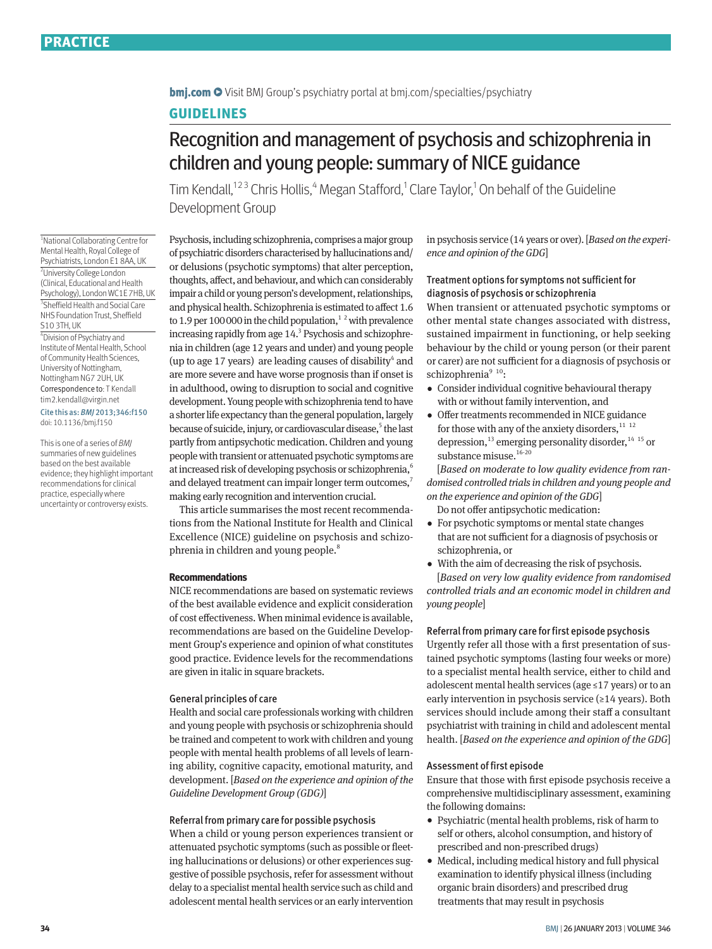**bmi.com**  $\bullet$  Visit BMI Group's psychiatry portal at bmi.com/specialties/psychiatry

# **GUIDELINES**

# Recognition and management of psychosis and schizophrenia in children and young people: summary of NICE guidance

Tim Kendall,<sup>123</sup> Chris Hollis,<sup>4</sup> Megan Stafford,<sup>1</sup> Clare Taylor,<sup>1</sup> On behalf of the Guideline Development Group

1 National Collaborating Centre for Mental Health, Royal College of Psychiatrists, London E1 8AA, UK 2 University College London (Clinical, Educational and Health Psychology), London WC1E 7HB, UK 3 Sheffield Health and Social Care NHS Foundation Trust, Sheffield S10 3TH, UK

4 Division of Psychiatry and Institute of Mental Health, School of Community Health Sciences, University of Nottingham, Nottingham NG7 2UH, UK

#### Correspondence to: T Kendall tim2.kendall@virgin.net

Cite this as: *BMJ* 2013;346:f150 doi: 10.1136/bmj.f150

This is one of a series of *BMJ* summaries of new guidelines based on the best available evidence; they highlight important recommendations for clinical practice, especially where uncertainty or controversy exists.

Psychosis, including schizophrenia, comprises a major group of psychiatric disorders characterised by hallucinations and/ or delusions (psychotic symptoms) that alter perception, thoughts, affect, and behaviour, and which can considerably impair a child or young person's development, relationships, and physical health. Schizophrenia is estimated to affect 1.6 to 1.9 per 100 000 in the child population, $1^2$  with prevalence increasing rapidly from age 14.<sup>3</sup> Psychosis and schizophrenia in children (age 12 years and under) and young people (up to age 17 years) are leading causes of disability $4$  and are more severe and have worse prognosis than if onset is in adulthood, owing to disruption to social and cognitive development. Young people with schizophrenia tend to have a shorter life expectancy than the general population, largely because of suicide, injury, or cardiovascular disease,<sup>5</sup> the last partly from antipsychotic medication. Children and young people with transient or attenuated psychotic symptoms are at increased risk of developing psychosis or schizophrenia,<sup>6</sup> and delayed treatment can impair longer term outcomes, making early recognition and intervention crucial.

This article summarises the most recent recommendations from the National Institute for Health and Clinical Excellence (NICE) guideline on psychosis and schizophrenia in children and young people.<sup>8</sup>

#### **Recommendations**

NICE recommendations are based on systematic reviews of the best available evidence and explicit consideration of cost effectiveness. When minimal evidence is available, recommendations are based on the Guideline Development Group's experience and opinion of what constitutes good practice. Evidence levels for the recommendations are given in italic in square brackets.

## General principles of care

Health and social care professionals working with children and young people with psychosis or schizophrenia should be trained and competent to work with children and young people with mental health problems of all levels of learning ability, cognitive capacity, emotional maturity, and development. [*Based on the experience and opinion of the Guideline Development Group (GDG)*]

## Referral from primary care for possible psychosis

When a child or young person experiences transient or attenuated psychotic symptoms (such as possible or fleeting hallucinations or delusions) or other experiences suggestive of possible psychosis, refer for assessment without delay to a specialist mental health service such as child and adolescent mental health services or an early intervention in psychosis service (14 years or over). [*Based on the experience and opinion of the GDG*]

# Treatment options for symptoms not sufficient for diagnosis of psychosis or schizophrenia

When transient or attenuated psychotic symptoms or other mental state changes associated with distress, sustained impairment in functioning, or help seeking behaviour by the child or young person (or their parent or carer) are not sufficient for a diagnosis of psychosis or schizophrenia<sup>9 10</sup>:

- •  Consider individual cognitive behavioural therapy with or without family intervention, and
- •  Offer treatments recommended in NICE guidance for those with any of the anxiety disorders, $^{11}$   $^{12}$ depression,<sup>13</sup> emerging personality disorder,<sup>14 15</sup> or substance misuse.<sup>16-20</sup>

[*Based on moderate to low quality evidence from randomised controlled trials in children and young people and on the experience and opinion of the GDG*]

- Do not offer antipsychotic medication:
- •  For psychotic symptoms or mental state changes that are not sufficient for a diagnosis of psychosis or schizophrenia, or
- With the aim of decreasing the risk of psychosis.

[*Based on very low quality evidence from randomised controlled trials and an economic model in children and young people*]

## Referral from primary care for first episode psychosis

Urgently refer all those with a first presentation of sustained psychotic symptoms (lasting four weeks or more) to a specialist mental health service, either to child and adolescent mental health services (age ≤17 years) or to an early intervention in psychosis service (≥14 years). Both services should include among their staff a consultant psychiatrist with training in child and adolescent mental health. [*Based on the experience and opinion of the GDG*]

# Assessment of first episode

Ensure that those with first episode psychosis receive a comprehensive multidisciplinary assessment, examining the following domains:

- •  Psychiatric (mental health problems, risk of harm to self or others, alcohol consumption, and history of prescribed and non-prescribed drugs)
- Medical, including medical history and full physical examination to identify physical illness (including organic brain disorders) and prescribed drug treatments that may result in psychosis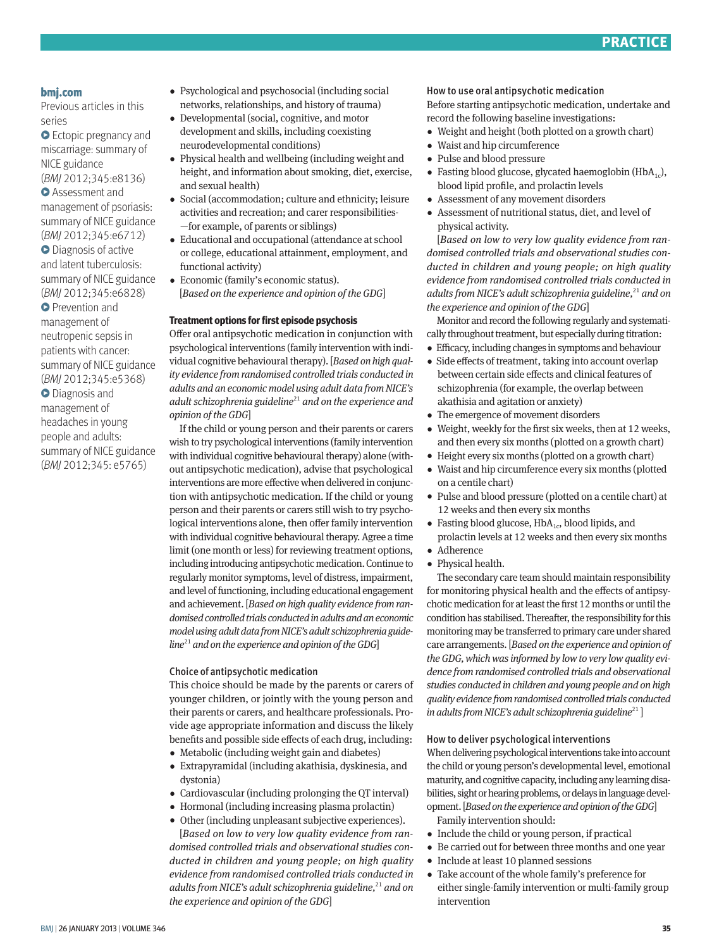

# **bmj.com**

Previous articles in this series

**•** Ectopic pregnancy and miscarriage: summary of NICE guidance

(*BMJ* 2012;345:e8136) **• Assessment and** 

management of psoriasis: summary of NICE guidance

(*BMJ* 2012;345:e6712) **•** Diagnosis of active and latent tuberculosis: summary of NICE guidance (*BMJ* 2012;345:e6828) **•** Prevention and management of neutropenic sepsis in patients with cancer: summary of NICE guidance (*BMJ* 2012;345:e5368) **•** Diagnosis and management of headaches in young

people and adults: summary of NICE guidance (*BMJ* 2012;345: e5765)

•  Psychological and psychosocial (including social networks, relationships, and history of trauma)

- •  Developmental (social, cognitive, and motor development and skills, including coexisting neurodevelopmental conditions)
- •  Physical health and wellbeing (including weight and height, and information about smoking, diet, exercise, and sexual health)
- Social (accommodation; culture and ethnicity; leisure activities and recreation; and carer responsibilities‑ —for example, of parents or siblings)
- •  Educational and occupational (attendance at school or college, educational attainment, employment, and functional activity)
- •  Economic (family's economic status). [*Based on the experience and opinion of the GDG*]

## **Treatment options for first episode psychosis**

Offer oral antipsychotic medication in conjunction with psychological interventions (family intervention with individual cognitive behavioural therapy). [*Based on high quality evidence from randomised controlled trials conducted in adults and an economic model using adult data from NICE's adult schizophrenia guideline*<sup>21</sup> *and on the experience and opinion of the GDG*]

If the child or young person and their parents or carers wish to try psychological interventions (family intervention with individual cognitive behavioural therapy) alone (without antipsychotic medication), advise that psychological interventions are more effective when delivered in conjunction with antipsychotic medication. If the child or young person and their parents or carers still wish to try psychological interventions alone, then offer family intervention with individual cognitive behavioural therapy. Agree a time limit (one month or less) for reviewing treatment options, including introducing antipsychotic medication. Continue to regularly monitor symptoms, level of distress, impairment, and level of functioning, including educational engagement and achievement. [*Based on high quality evidence from randomised controlled trials conducted in adults and an economic model using adult data from NICE's adult schizophrenia guideline*<sup>21</sup> *and on the experience and opinion of the GDG*]

## Choice of antipsychotic medication

This choice should be made by the parents or carers of younger children, or jointly with the young person and their parents or carers, and healthcare professionals. Provide age appropriate information and discuss the likely benefits and possible side effects of each drug, including:

- Metabolic (including weight gain and diabetes)
- •  Extrapyramidal (including akathisia, dyskinesia, and dystonia)
- •  Cardiovascular (including prolonging the QT interval)
- Hormonal (including increasing plasma prolactin)
- •  Other (including unpleasant subjective experiences). [*Based on low to very low quality evidence from ran-*

*domised controlled trials and observational studies conducted in children and young people; on high quality evidence from randomised controlled trials conducted in adults from NICE's adult schizophrenia guideline*,<sup>21</sup> and on *the experience and opinion of the GDG*]

## How to use oral antipsychotic medication

Before starting antipsychotic medication, undertake and record the following baseline investigations:

- Weight and height (both plotted on a growth chart)
- •  Waist and hip circumference
- •  Pulse and blood pressure
- Fasting blood glucose, glycated haemoglobin (HbA<sub>1c</sub>), blood lipid profile, and prolactin levels
- •  Assessment of any movement disorders
- •  Assessment of nutritional status, diet, and level of physical activity.

[*Based on low to very low quality evidence from randomised controlled trials and observational studies conducted in children and young people; on high quality evidence from randomised controlled trials conducted in adults from NICE's adult schizophrenia guideline*,<sup>21</sup> and on *the experience and opinion of the GDG*]

Monitor and record the following regularly and systematically throughout treatment, but especially during titration:

- Efficacy, including changes in symptoms and behaviour
- Side effects of treatment, taking into account overlap between certain side effects and clinical features of schizophrenia (for example, the overlap between akathisia and agitation or anxiety)
- •  The emergence of movement disorders
- •  Weight, weekly for the first six weeks, then at 12 weeks, and then every six months (plotted on a growth chart)
- Height every six months (plotted on a growth chart)
- •  Waist and hip circumference every six months (plotted on a centile chart)
- •  Pulse and blood pressure (plotted on a centile chart) at 12 weeks and then every six months
- Fasting blood glucose,  $HbA_{1c}$ , blood lipids, and prolactin levels at 12 weeks and then every six months
- •  Adherence
- •  Physical health.

The secondary care team should maintain responsibility for monitoring physical health and the effects of antipsychotic medication for at least the first 12 months or until the condition has stabilised. Thereafter, the responsibility for this monitoring may be transferred to primary care under shared care arrangements. [*Based on the experience and opinion of the GDG, which was informed by low to very low quality evidence from randomised controlled trials and observational studies conducted in children and young people and on high quality evidence from randomised controlled trials conducted in adults from NICE's adult schizophrenia guideline*<sup>21</sup>]

#### How to deliver psychological interventions

When delivering psychological interventions take into account the child or young person's developmental level, emotional maturity, and cognitive capacity, including any learning disabilities, sight or hearing problems, or delays in language development. [*Based on the experience and opinion of the GDG*] Family intervention should:

- 
- •  Include the child or young person, if practical
- •  Be carried out for between three months and one year
- •  Include at least 10 planned sessions
- •  Take account of the whole family's preference for either single-family intervention or multi-family group intervention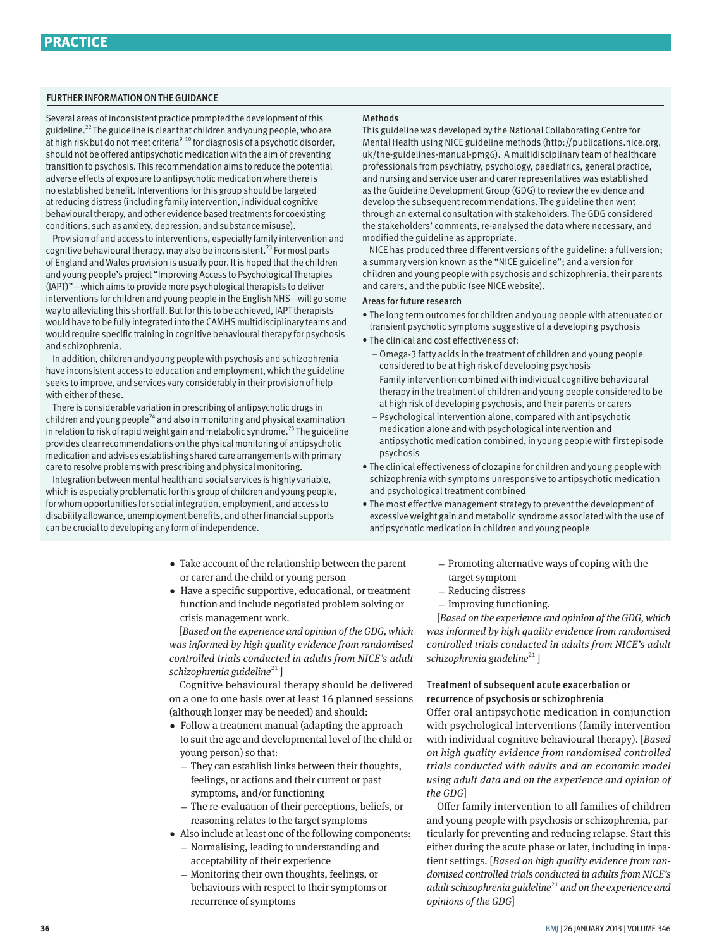## FURTHER INFORMATION ON THE GUIDANCE

Several areas of inconsistent practice prompted the development of this guideline.22 The guideline is clear that children and young people, who are at high risk but do not meet criteria<sup>9 10</sup> for diagnosis of a psychotic disorder, should not be offered antipsychotic medication with the aim of preventing transition to psychosis. This recommendation aims to reduce the potential adverse effects of exposure to antipsychotic medication where there is no established benefit. Interventions for this group should be targeted at reducing distress (including family intervention, individual cognitive behavioural therapy, and other evidence based treatments for coexisting conditions, such as anxiety, depression, and substance misuse).

Provision of and access to interventions, especially family intervention and cognitive behavioural therapy, may also be inconsistent.<sup>23</sup> For most parts of England and Wales provision is usually poor. It is hoped that the children and young people's project "Improving Access to Psychological Therapies (IAPT)"—which aims to provide more psychological therapists to deliver interventions for children and young people in the English NHS—will go some way to alleviating this shortfall. But for this to be achieved, IAPT therapists would have to be fully integrated into the CAMHS multidisciplinary teams and would require specific training in cognitive behavioural therapy for psychosis and schizophrenia.

In addition, children and young people with psychosis and schizophrenia have inconsistent access to education and employment, which the guideline seeks to improve, and services vary considerably in their provision of help with either of these.

There is considerable variation in prescribing of antipsychotic drugs in children and young people<sup>24</sup> and also in monitoring and physical examination in relation to risk of rapid weight gain and metabolic syndrome.<sup>25</sup> The guideline provides clear recommendations on the physical monitoring of antipsychotic medication and advises establishing shared care arrangements with primary care to resolve problems with prescribing and physical monitoring.

Integration between mental health and social services is highly variable, which is especially problematic for this group of children and young people, for whom opportunities for social integration, employment, and access to disability allowance, unemployment benefits, and other financial supports can be crucial to developing any form of independence.

#### **Methods**

This guideline was developed by the National Collaborating Centre for Mental Health using NICE guideline methods (http://publications.nice.org. uk/the-guidelines-manual-pmg6). A multidisciplinary team of healthcare professionals from psychiatry, psychology, paediatrics, general practice, and nursing and service user and carer representatives was established as the Guideline Development Group (GDG) to review the evidence and develop the subsequent recommendations. The guideline then went through an external consultation with stakeholders. The GDG considered the stakeholders' comments, re-analysed the data where necessary, and modified the guideline as appropriate.

NICE has produced three different versions of the guideline: a full version; a summary version known as the "NICE guideline"; and a version for children and young people with psychosis and schizophrenia, their parents and carers, and the public (see NICE website).

## Areas for future research

- The long term outcomes for children and young people with attenuated or transient psychotic symptoms suggestive of a developing psychosis
- The clinical and cost effectiveness of:
	- Omega-3 fatty acids in the treatment of children and young people considered to be at high risk of developing psychosis
	- Family intervention combined with individual cognitive behavioural therapy in the treatment of children and young people considered to be at high risk of developing psychosis, and their parents or carers
	- Psychological intervention alone, compared with antipsychotic medication alone and with psychological intervention and antipsychotic medication combined, in young people with first episode psychosis
- The clinical effectiveness of clozapine for children and young people with schizophrenia with symptoms unresponsive to antipsychotic medication and psychological treatment combined
- The most effective management strategy to prevent the development of excessive weight gain and metabolic syndrome associated with the use of antipsychotic medication in children and young people
- •  Take account of the relationship between the parent or carer and the child or young person
- •  Have a specific supportive, educational, or treatment function and include negotiated problem solving or crisis management work.

[*Based on the experience and opinion of the GDG, which was informed by high quality evidence from randomised controlled trials conducted in adults from NICE's adult*  schizophrenia guideline<sup>21</sup>]

Cognitive behavioural therapy should be delivered on a one to one basis over at least 16 planned sessions (although longer may be needed) and should:

- •  Follow a treatment manual (adapting the approach to suit the age and developmental level of the child or young person) so that:
	- They can establish links between their thoughts, feelings, or actions and their current or past symptoms, and/or functioning
	- The re-evaluation of their perceptions, beliefs, or reasoning relates to the target symptoms
- •  Also include at least one of the following components: – Normalising, leading to understanding and acceptability of their experience
	- Monitoring their own thoughts, feelings, or behaviours with respect to their symptoms or recurrence of symptoms
- Promoting alternative ways of coping with the target symptom
- Reducing distress
- Improving functioning.

[*Based on the experience and opinion of the GDG, which was informed by high quality evidence from randomised controlled trials conducted in adults from NICE's adult schizophrenia guideline*<sup>21</sup>]

# Treatment of subsequent acute exacerbation or recurrence of psychosis or schizophrenia

Offer oral antipsychotic medication in conjunction with psychological interventions (family intervention with individual cognitive behavioural therapy). [*Based on high quality evidence from randomised controlled trials conducted with adults and an economic model using adult data and on the experience and opinion of the GDG*]

Offer family intervention to all families of children and young people with psychosis or schizophrenia, particularly for preventing and reducing relapse. Start this either during the acute phase or later, including in inpatient settings. [*Based on high quality evidence from randomised controlled trials conducted in adults from NICE's adult schizophrenia guideline*<sup>21</sup> *and on the experience and opinions of the GDG*]